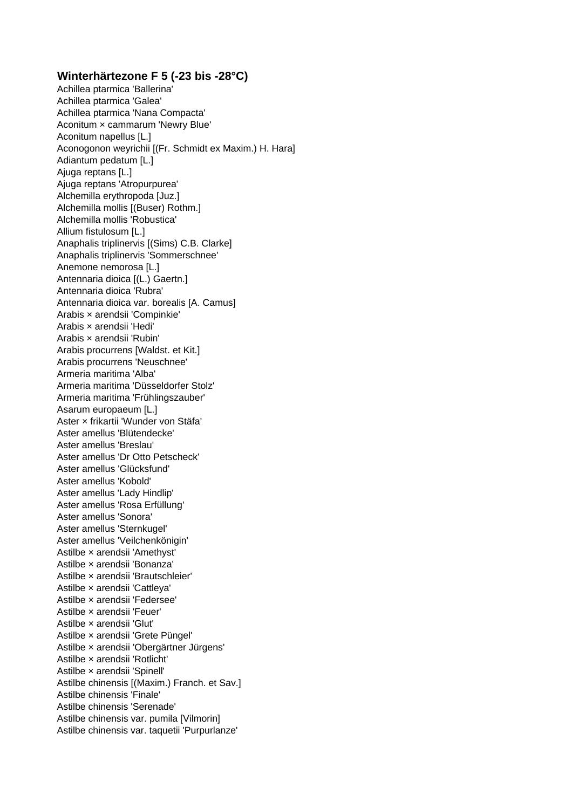## **Winterhärtezone F 5 (-23 bis -28°C)**

Achillea ptarmica 'Ballerina' Achillea ptarmica 'Galea' Achillea ptarmica 'Nana Compacta' Aconitum × cammarum 'Newry Blue' Aconitum napellus [L.] Aconogonon weyrichii [(Fr. Schmidt ex Maxim.) H. Hara] Adiantum pedatum [L.] Ajuga reptans [L.] Ajuga reptans 'Atropurpurea' Alchemilla erythropoda [Juz.] Alchemilla mollis [(Buser) Rothm.] Alchemilla mollis 'Robustica' Allium fistulosum [L.] Anaphalis triplinervis [(Sims) C.B. Clarke] Anaphalis triplinervis 'Sommerschnee' Anemone nemorosa [L.] Antennaria dioica [(L.) Gaertn.] Antennaria dioica 'Rubra' Antennaria dioica var. borealis [A. Camus] Arabis × arendsii 'Compinkie' Arabis × arendsii 'Hedi' Arabis × arendsii 'Rubin' Arabis procurrens [Waldst. et Kit.] Arabis procurrens 'Neuschnee' Armeria maritima 'Alba' Armeria maritima 'Düsseldorfer Stolz' Armeria maritima 'Frühlingszauber' Asarum europaeum [L.] Aster × frikartii 'Wunder von Stäfa' Aster amellus 'Blütendecke' Aster amellus 'Breslau' Aster amellus 'Dr Otto Petscheck' Aster amellus 'Glücksfund' Aster amellus 'Kobold' Aster amellus 'Lady Hindlip' Aster amellus 'Rosa Erfüllung' Aster amellus 'Sonora' Aster amellus 'Sternkugel' Aster amellus 'Veilchenkönigin' Astilbe × arendsii 'Amethyst' Astilbe × arendsii 'Bonanza' Astilbe × arendsii 'Brautschleier' Astilbe × arendsii 'Cattleya' Astilbe × arendsii 'Federsee' Astilbe × arendsii 'Feuer' Astilbe × arendsii 'Glut' Astilbe × arendsii 'Grete Püngel' Astilbe × arendsii 'Obergärtner Jürgens' Astilbe × arendsii 'Rotlicht' Astilbe × arendsii 'Spinell' Astilbe chinensis [(Maxim.) Franch. et Sav.] Astilbe chinensis 'Finale' Astilbe chinensis 'Serenade' Astilbe chinensis var. pumila [Vilmorin] Astilbe chinensis var. taquetii 'Purpurlanze'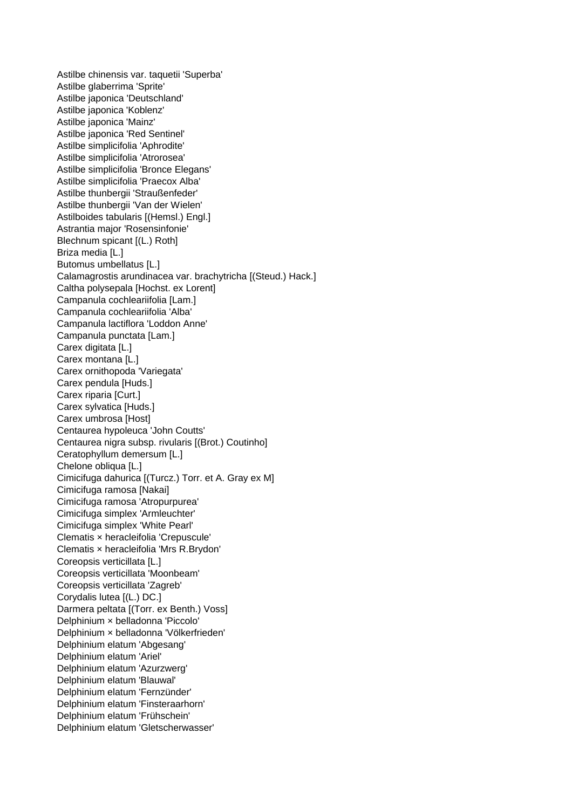Astilbe chinensis var. taquetii 'Superba' Astilbe glaberrima 'Sprite' Astilbe japonica 'Deutschland' Astilbe japonica 'Koblenz' Astilbe japonica 'Mainz' Astilbe japonica 'Red Sentinel' Astilbe simplicifolia 'Aphrodite' Astilbe simplicifolia 'Atrorosea' Astilbe simplicifolia 'Bronce Elegans' Astilbe simplicifolia 'Praecox Alba' Astilbe thunbergii 'Straußenfeder' Astilbe thunbergii 'Van der Wielen' Astilboides tabularis [(Hemsl.) Engl.] Astrantia major 'Rosensinfonie' Blechnum spicant [(L.) Roth] Briza media [L.] Butomus umbellatus [L.] Calamagrostis arundinacea var. brachytricha [(Steud.) Hack.] Caltha polysepala [Hochst. ex Lorent] Campanula cochleariifolia [Lam.] Campanula cochleariifolia 'Alba' Campanula lactiflora 'Loddon Anne' Campanula punctata [Lam.] Carex digitata [L.] Carex montana [L.] Carex ornithopoda 'Variegata' Carex pendula [Huds.] Carex riparia [Curt.] Carex sylvatica [Huds.] Carex umbrosa [Host] Centaurea hypoleuca 'John Coutts' Centaurea nigra subsp. rivularis [(Brot.) Coutinho] Ceratophyllum demersum [L.] Chelone obliqua [L.] Cimicifuga dahurica [(Turcz.) Torr. et A. Gray ex M] Cimicifuga ramosa [Nakai] Cimicifuga ramosa 'Atropurpurea' Cimicifuga simplex 'Armleuchter' Cimicifuga simplex 'White Pearl' Clematis × heracleifolia 'Crepuscule' Clematis × heracleifolia 'Mrs R.Brydon' Coreopsis verticillata [L.] Coreopsis verticillata 'Moonbeam' Coreopsis verticillata 'Zagreb' Corydalis lutea [(L.) DC.] Darmera peltata [(Torr. ex Benth.) Voss] Delphinium × belladonna 'Piccolo' Delphinium × belladonna 'Völkerfrieden' Delphinium elatum 'Abgesang' Delphinium elatum 'Ariel' Delphinium elatum 'Azurzwerg' Delphinium elatum 'Blauwal' Delphinium elatum 'Fernzünder' Delphinium elatum 'Finsteraarhorn' Delphinium elatum 'Frühschein' Delphinium elatum 'Gletscherwasser'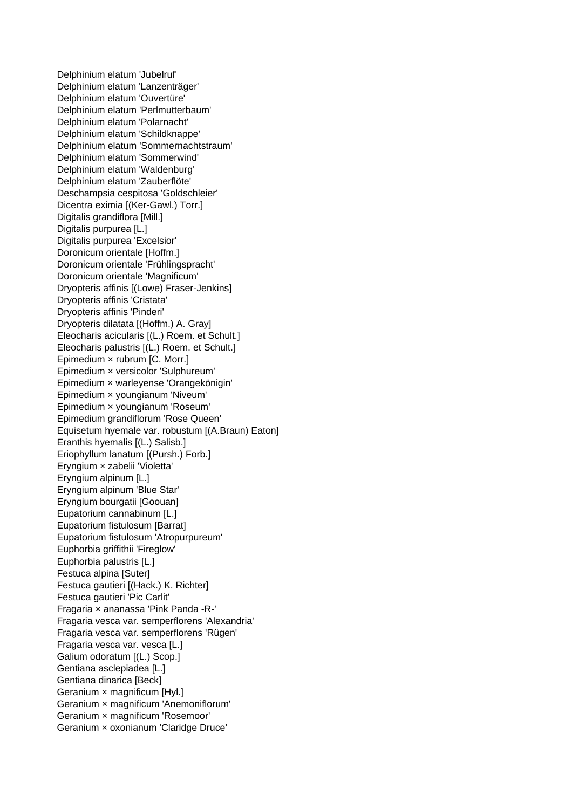Delphinium elatum 'Jubelruf' Delphinium elatum 'Lanzenträger' Delphinium elatum 'Ouvertüre' Delphinium elatum 'Perlmutterbaum' Delphinium elatum 'Polarnacht' Delphinium elatum 'Schildknappe' Delphinium elatum 'Sommernachtstraum' Delphinium elatum 'Sommerwind' Delphinium elatum 'Waldenburg' Delphinium elatum 'Zauberflöte' Deschampsia cespitosa 'Goldschleier' Dicentra eximia [(Ker-Gawl.) Torr.] Digitalis grandiflora [Mill.] Digitalis purpurea [L.] Digitalis purpurea 'Excelsior' Doronicum orientale [Hoffm.] Doronicum orientale 'Frühlingspracht' Doronicum orientale 'Magnificum' Dryopteris affinis [(Lowe) Fraser-Jenkins] Dryopteris affinis 'Cristata' Dryopteris affinis 'Pinderi' Dryopteris dilatata [(Hoffm.) A. Gray] Eleocharis acicularis [(L.) Roem. et Schult.] Eleocharis palustris [(L.) Roem. et Schult.] Epimedium × rubrum [C. Morr.] Epimedium × versicolor 'Sulphureum' Epimedium × warleyense 'Orangekönigin' Epimedium × youngianum 'Niveum' Epimedium × youngianum 'Roseum' Epimedium grandiflorum 'Rose Queen' Equisetum hyemale var. robustum [(A.Braun) Eaton] Eranthis hyemalis [(L.) Salisb.] Eriophyllum lanatum [(Pursh.) Forb.] Eryngium × zabelii 'Violetta' Eryngium alpinum [L.] Eryngium alpinum 'Blue Star' Eryngium bourgatii [Goouan] Eupatorium cannabinum [L.] Eupatorium fistulosum [Barrat] Eupatorium fistulosum 'Atropurpureum' Euphorbia griffithii 'Fireglow' Euphorbia palustris [L.] Festuca alpina [Suter] Festuca gautieri [(Hack.) K. Richter] Festuca gautieri 'Pic Carlit' Fragaria × ananassa 'Pink Panda -R-' Fragaria vesca var. semperflorens 'Alexandria' Fragaria vesca var. semperflorens 'Rügen' Fragaria vesca var. vesca [L.] Galium odoratum [(L.) Scop.] Gentiana asclepiadea [L.] Gentiana dinarica [Beck] Geranium × magnificum [Hyl.] Geranium × magnificum 'Anemoniflorum' Geranium × magnificum 'Rosemoor' Geranium × oxonianum 'Claridge Druce'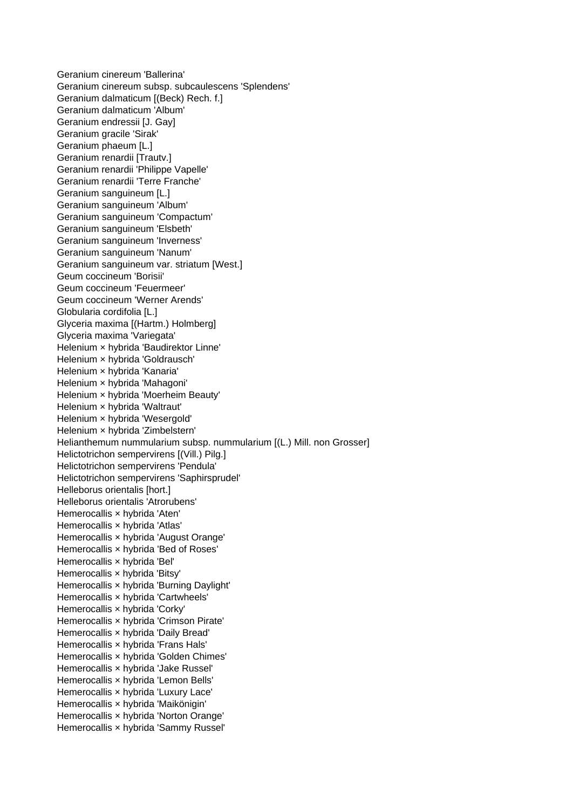Geranium cinereum 'Ballerina' Geranium cinereum subsp. subcaulescens 'Splendens' Geranium dalmaticum [(Beck) Rech. f.] Geranium dalmaticum 'Album' Geranium endressii [J. Gay] Geranium gracile 'Sirak' Geranium phaeum [L.] Geranium renardii [Trautv.] Geranium renardii 'Philippe Vapelle' Geranium renardii 'Terre Franche' Geranium sanguineum [L.] Geranium sanguineum 'Album' Geranium sanguineum 'Compactum' Geranium sanguineum 'Elsbeth' Geranium sanguineum 'Inverness' Geranium sanguineum 'Nanum' Geranium sanguineum var. striatum [West.] Geum coccineum 'Borisii' Geum coccineum 'Feuermeer' Geum coccineum 'Werner Arends' Globularia cordifolia [L.] Glyceria maxima [(Hartm.) Holmberg] Glyceria maxima 'Variegata' Helenium × hybrida 'Baudirektor Linne' Helenium × hybrida 'Goldrausch' Helenium × hybrida 'Kanaria' Helenium × hybrida 'Mahagoni' Helenium × hybrida 'Moerheim Beauty' Helenium × hybrida 'Waltraut' Helenium × hybrida 'Wesergold' Helenium × hybrida 'Zimbelstern' Helianthemum nummularium subsp. nummularium [(L.) Mill. non Grosser] Helictotrichon sempervirens [(Vill.) Pilg.] Helictotrichon sempervirens 'Pendula' Helictotrichon sempervirens 'Saphirsprudel' Helleborus orientalis [hort.] Helleborus orientalis 'Atrorubens' Hemerocallis × hybrida 'Aten' Hemerocallis x hybrida 'Atlas' Hemerocallis × hybrida 'August Orange' Hemerocallis × hybrida 'Bed of Roses' Hemerocallis × hybrida 'Bel' Hemerocallis × hybrida 'Bitsy' Hemerocallis × hybrida 'Burning Daylight' Hemerocallis × hybrida 'Cartwheels' Hemerocallis × hybrida 'Corky' Hemerocallis × hybrida 'Crimson Pirate' Hemerocallis × hybrida 'Daily Bread' Hemerocallis × hybrida 'Frans Hals' Hemerocallis × hybrida 'Golden Chimes' Hemerocallis × hybrida 'Jake Russel' Hemerocallis × hybrida 'Lemon Bells' Hemerocallis × hybrida 'Luxury Lace' Hemerocallis × hybrida 'Maikönigin' Hemerocallis × hybrida 'Norton Orange' Hemerocallis × hybrida 'Sammy Russel'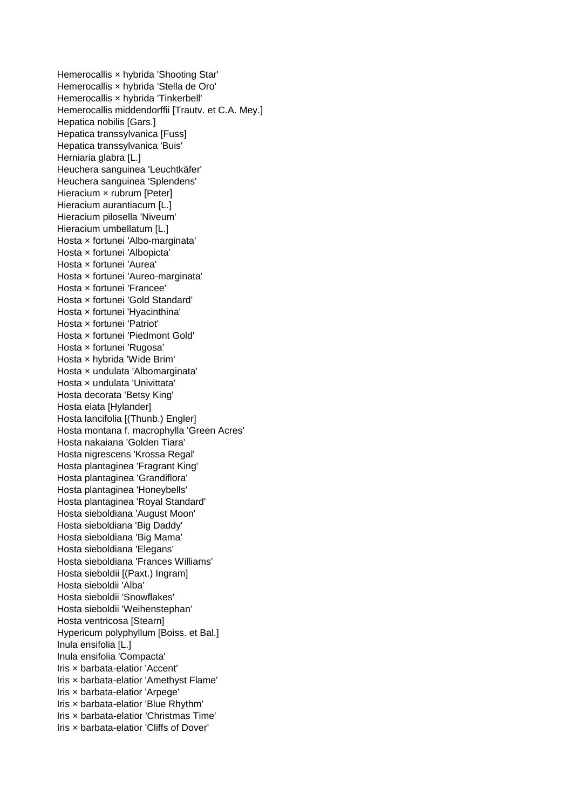Hemerocallis × hybrida 'Shooting Star' Hemerocallis × hybrida 'Stella de Oro' Hemerocallis × hybrida 'Tinkerbell' Hemerocallis middendorffii [Trautv. et C.A. Mey.] Hepatica nobilis [Gars.] Hepatica transsylvanica [Fuss] Hepatica transsylvanica 'Buis' Herniaria glabra [L.] Heuchera sanguinea 'Leuchtkäfer' Heuchera sanguinea 'Splendens' Hieracium x rubrum [Peter] Hieracium aurantiacum [L.] Hieracium pilosella 'Niveum' Hieracium umbellatum [L.] Hosta × fortunei 'Albo-marginata' Hosta × fortunei 'Albopicta' Hosta × fortunei 'Aurea' Hosta × fortunei 'Aureo-marginata' Hosta × fortunei 'Francee' Hosta × fortunei 'Gold Standard' Hosta × fortunei 'Hyacinthina' Hosta × fortunei 'Patriot' Hosta × fortunei 'Piedmont Gold' Hosta × fortunei 'Rugosa' Hosta × hybrida 'Wide Brim' Hosta × undulata 'Albomarginata' Hosta × undulata 'Univittata' Hosta decorata 'Betsy King' Hosta elata [Hylander] Hosta lancifolia [(Thunb.) Engler] Hosta montana f. macrophylla 'Green Acres' Hosta nakaiana 'Golden Tiara' Hosta nigrescens 'Krossa Regal' Hosta plantaginea 'Fragrant King' Hosta plantaginea 'Grandiflora' Hosta plantaginea 'Honeybells' Hosta plantaginea 'Royal Standard' Hosta sieboldiana 'August Moon' Hosta sieboldiana 'Big Daddy' Hosta sieboldiana 'Big Mama' Hosta sieboldiana 'Elegans' Hosta sieboldiana 'Frances Williams' Hosta sieboldii [(Paxt.) Ingram] Hosta sieboldii 'Alba' Hosta sieboldii 'Snowflakes' Hosta sieboldii 'Weihenstephan' Hosta ventricosa [Stearn] Hypericum polyphyllum [Boiss. et Bal.] Inula ensifolia [L.] Inula ensifolia 'Compacta' Iris × barbata-elatior 'Accent' Iris × barbata-elatior 'Amethyst Flame' Iris × barbata-elatior 'Arpege' Iris × barbata-elatior 'Blue Rhythm' Iris × barbata-elatior 'Christmas Time' Iris × barbata-elatior 'Cliffs of Dover'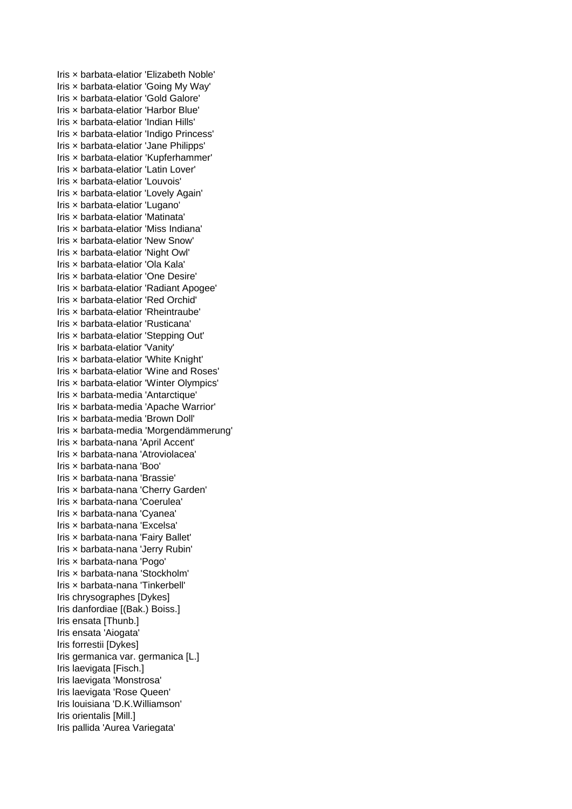Iris × barbata-elatior 'Elizabeth Noble' Iris × barbata-elatior 'Going My Way' Iris × barbata-elatior 'Gold Galore' Iris × barbata-elatior 'Harbor Blue' Iris × barbata-elatior 'Indian Hills' Iris × barbata-elatior 'Indigo Princess' Iris × barbata-elatior 'Jane Philipps' Iris × barbata-elatior 'Kupferhammer' Iris × barbata-elatior 'Latin Lover' Iris × barbata-elatior 'Louvois' Iris × barbata-elatior 'Lovely Again' Iris × barbata-elatior 'Lugano' Iris × barbata-elatior 'Matinata' Iris × barbata-elatior 'Miss Indiana' Iris × barbata-elatior 'New Snow' Iris × barbata-elatior 'Night Owl' Iris × barbata-elatior 'Ola Kala' Iris × barbata-elatior 'One Desire' Iris × barbata-elatior 'Radiant Apogee' Iris × barbata-elatior 'Red Orchid' Iris × barbata-elatior 'Rheintraube' Iris × barbata-elatior 'Rusticana' Iris × barbata-elatior 'Stepping Out' Iris × barbata-elatior 'Vanity' Iris × barbata-elatior 'White Knight' Iris × barbata-elatior 'Wine and Roses' Iris × barbata-elatior 'Winter Olympics' Iris × barbata-media 'Antarctique' Iris × barbata-media 'Apache Warrior' Iris × barbata-media 'Brown Doll' Iris × barbata-media 'Morgendämmerung' Iris × barbata-nana 'April Accent' Iris × barbata-nana 'Atroviolacea' Iris × barbata-nana 'Boo' Iris × barbata-nana 'Brassie' Iris × barbata-nana 'Cherry Garden' Iris × barbata-nana 'Coerulea' Iris × barbata-nana 'Cyanea' Iris × barbata-nana 'Excelsa' Iris × barbata-nana 'Fairy Ballet' Iris × barbata-nana 'Jerry Rubin' Iris × barbata-nana 'Pogo' Iris × barbata-nana 'Stockholm' Iris × barbata-nana 'Tinkerbell' Iris chrysographes [Dykes] Iris danfordiae [(Bak.) Boiss.] Iris ensata [Thunb.] Iris ensata 'Aiogata' Iris forrestii [Dykes] Iris germanica var. germanica [L.] Iris laevigata [Fisch.] Iris laevigata 'Monstrosa' Iris laevigata 'Rose Queen' Iris louisiana 'D.K.Williamson' Iris orientalis [Mill.] Iris pallida 'Aurea Variegata'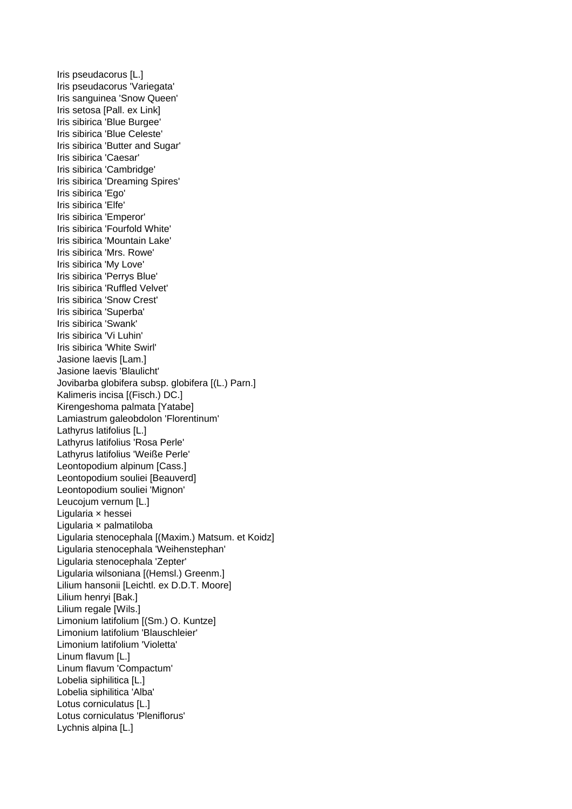Iris pseudacorus [L.] Iris pseudacorus 'Variegata' Iris sanguinea 'Snow Queen' Iris setosa [Pall. ex Link] Iris sibirica 'Blue Burgee' Iris sibirica 'Blue Celeste' Iris sibirica 'Butter and Sugar' Iris sibirica 'Caesar' Iris sibirica 'Cambridge' Iris sibirica 'Dreaming Spires' Iris sibirica 'Ego' Iris sibirica 'Elfe' Iris sibirica 'Emperor' Iris sibirica 'Fourfold White' Iris sibirica 'Mountain Lake' Iris sibirica 'Mrs. Rowe' Iris sibirica 'My Love' Iris sibirica 'Perrys Blue' Iris sibirica 'Ruffled Velvet' Iris sibirica 'Snow Crest' Iris sibirica 'Superba' Iris sibirica 'Swank' Iris sibirica 'Vi Luhin' Iris sibirica 'White Swirl' Jasione laevis [Lam.] Jasione laevis 'Blaulicht' Jovibarba globifera subsp. globifera [(L.) Parn.] Kalimeris incisa [(Fisch.) DC.] Kirengeshoma palmata [Yatabe] Lamiastrum galeobdolon 'Florentinum' Lathyrus latifolius [L.] Lathyrus latifolius 'Rosa Perle' Lathyrus latifolius 'Weiße Perle' Leontopodium alpinum [Cass.] Leontopodium souliei [Beauverd] Leontopodium souliei 'Mignon' Leucojum vernum [L.] Ligularia × hessei Ligularia × palmatiloba Ligularia stenocephala [(Maxim.) Matsum. et Koidz] Ligularia stenocephala 'Weihenstephan' Ligularia stenocephala 'Zepter' Ligularia wilsoniana [(Hemsl.) Greenm.] Lilium hansonii [Leichtl. ex D.D.T. Moore] Lilium henryi [Bak.] Lilium regale [Wils.] Limonium latifolium [(Sm.) O. Kuntze] Limonium latifolium 'Blauschleier' Limonium latifolium 'Violetta' Linum flavum [L.] Linum flavum 'Compactum' Lobelia siphilitica [L.] Lobelia siphilitica 'Alba' Lotus corniculatus [L.] Lotus corniculatus 'Pleniflorus' Lychnis alpina [L.]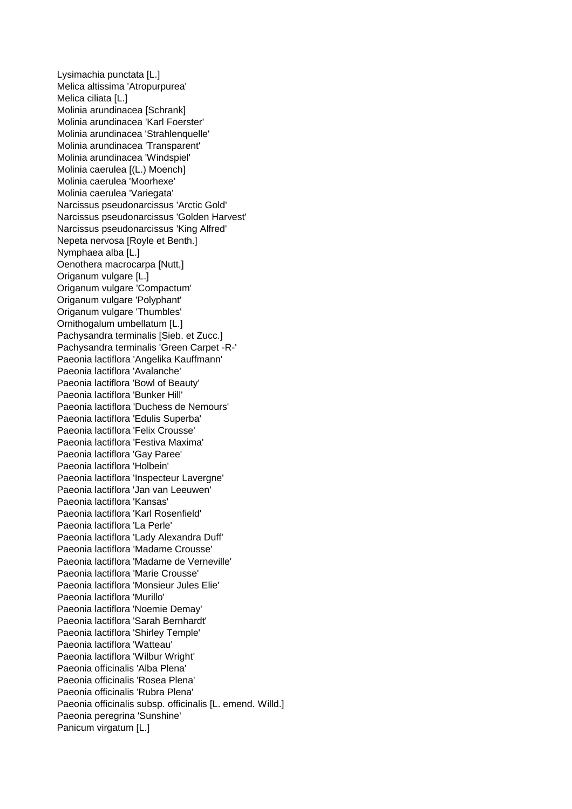Lysimachia punctata [L.] Melica altissima 'Atropurpurea' Melica ciliata [L.] Molinia arundinacea [Schrank] Molinia arundinacea 'Karl Foerster' Molinia arundinacea 'Strahlenquelle' Molinia arundinacea 'Transparent' Molinia arundinacea 'Windspiel' Molinia caerulea [(L.) Moench] Molinia caerulea 'Moorhexe' Molinia caerulea 'Variegata' Narcissus pseudonarcissus 'Arctic Gold' Narcissus pseudonarcissus 'Golden Harvest' Narcissus pseudonarcissus 'King Alfred' Nepeta nervosa [Royle et Benth.] Nymphaea alba [L.] Oenothera macrocarpa [Nutt,] Origanum vulgare [L.] Origanum vulgare 'Compactum' Origanum vulgare 'Polyphant' Origanum vulgare 'Thumbles' Ornithogalum umbellatum [L.] Pachysandra terminalis [Sieb. et Zucc.] Pachysandra terminalis 'Green Carpet -R-' Paeonia lactiflora 'Angelika Kauffmann' Paeonia lactiflora 'Avalanche' Paeonia lactiflora 'Bowl of Beauty' Paeonia lactiflora 'Bunker Hill' Paeonia lactiflora 'Duchess de Nemours' Paeonia lactiflora 'Edulis Superba' Paeonia lactiflora 'Felix Crousse' Paeonia lactiflora 'Festiva Maxima' Paeonia lactiflora 'Gay Paree' Paeonia lactiflora 'Holbein' Paeonia lactiflora 'Inspecteur Lavergne' Paeonia lactiflora 'Jan van Leeuwen' Paeonia lactiflora 'Kansas' Paeonia lactiflora 'Karl Rosenfield' Paeonia lactiflora 'La Perle' Paeonia lactiflora 'Lady Alexandra Duff' Paeonia lactiflora 'Madame Crousse' Paeonia lactiflora 'Madame de Verneville' Paeonia lactiflora 'Marie Crousse' Paeonia lactiflora 'Monsieur Jules Elie' Paeonia lactiflora 'Murillo' Paeonia lactiflora 'Noemie Demay' Paeonia lactiflora 'Sarah Bernhardt' Paeonia lactiflora 'Shirley Temple' Paeonia lactiflora 'Watteau' Paeonia lactiflora 'Wilbur Wright' Paeonia officinalis 'Alba Plena' Paeonia officinalis 'Rosea Plena' Paeonia officinalis 'Rubra Plena' Paeonia officinalis subsp. officinalis [L. emend. Willd.] Paeonia peregrina 'Sunshine' Panicum virgatum [L.]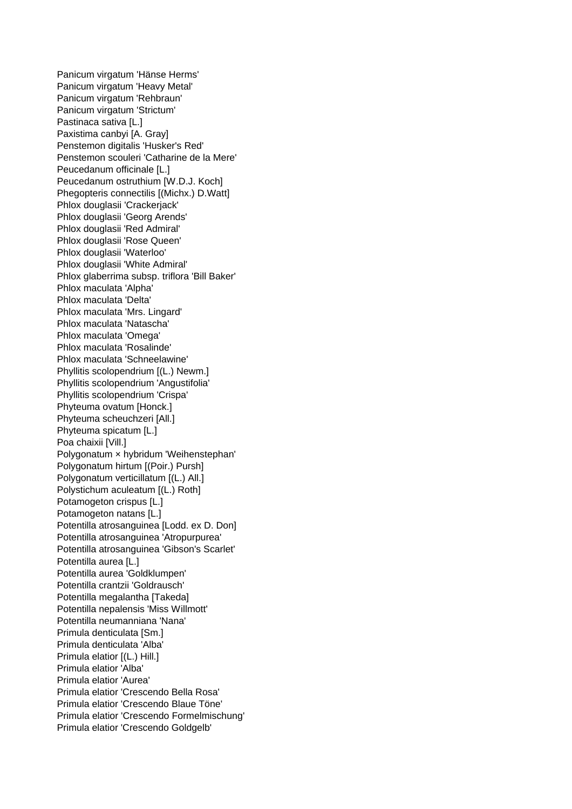Panicum virgatum 'Hänse Herms' Panicum virgatum 'Heavy Metal' Panicum virgatum 'Rehbraun' Panicum virgatum 'Strictum' Pastinaca sativa [L.] Paxistima canbyi [A. Gray] Penstemon digitalis 'Husker's Red' Penstemon scouleri 'Catharine de la Mere' Peucedanum officinale [L.] Peucedanum ostruthium [W.D.J. Koch] Phegopteris connectilis [(Michx.) D.Watt] Phlox douglasii 'Crackerjack' Phlox douglasii 'Georg Arends' Phlox douglasii 'Red Admiral' Phlox douglasii 'Rose Queen' Phlox douglasii 'Waterloo' Phlox douglasii 'White Admiral' Phlox glaberrima subsp. triflora 'Bill Baker' Phlox maculata 'Alpha' Phlox maculata 'Delta' Phlox maculata 'Mrs. Lingard' Phlox maculata 'Natascha' Phlox maculata 'Omega' Phlox maculata 'Rosalinde' Phlox maculata 'Schneelawine' Phyllitis scolopendrium [(L.) Newm.] Phyllitis scolopendrium 'Angustifolia' Phyllitis scolopendrium 'Crispa' Phyteuma ovatum [Honck.] Phyteuma scheuchzeri [All.] Phyteuma spicatum [L.] Poa chaixii [Vill.] Polygonatum × hybridum 'Weihenstephan' Polygonatum hirtum [(Poir.) Pursh] Polygonatum verticillatum [(L.) All.] Polystichum aculeatum [(L.) Roth] Potamogeton crispus [L.] Potamogeton natans [L.] Potentilla atrosanguinea [Lodd. ex D. Don] Potentilla atrosanguinea 'Atropurpurea' Potentilla atrosanguinea 'Gibson's Scarlet' Potentilla aurea [L.] Potentilla aurea 'Goldklumpen' Potentilla crantzii 'Goldrausch' Potentilla megalantha [Takeda] Potentilla nepalensis 'Miss Willmott' Potentilla neumanniana 'Nana' Primula denticulata [Sm.] Primula denticulata 'Alba' Primula elatior [(L.) Hill.] Primula elatior 'Alba' Primula elatior 'Aurea' Primula elatior 'Crescendo Bella Rosa' Primula elatior 'Crescendo Blaue Töne' Primula elatior 'Crescendo Formelmischung' Primula elatior 'Crescendo Goldgelb'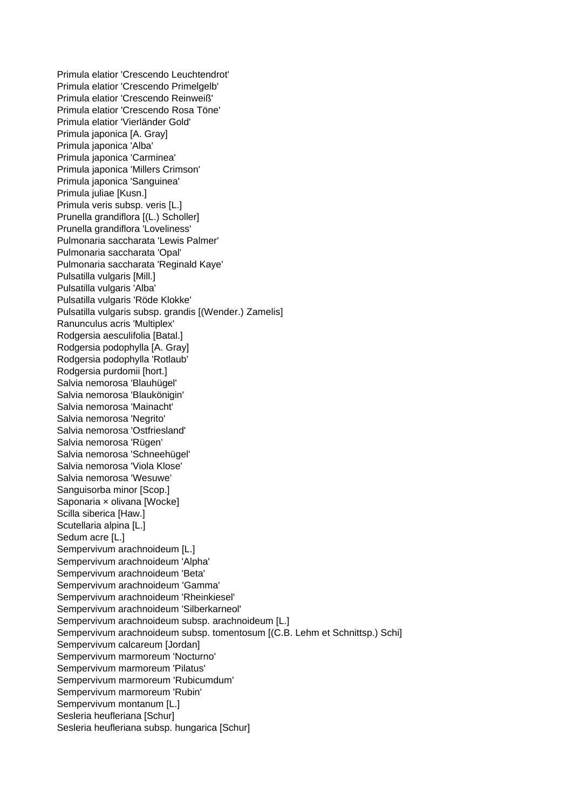Primula elatior 'Crescendo Leuchtendrot' Primula elatior 'Crescendo Primelgelb' Primula elatior 'Crescendo Reinweiß' Primula elatior 'Crescendo Rosa Töne' Primula elatior 'Vierländer Gold' Primula japonica [A. Gray] Primula japonica 'Alba' Primula japonica 'Carminea' Primula japonica 'Millers Crimson' Primula japonica 'Sanguinea' Primula juliae [Kusn.] Primula veris subsp. veris [L.] Prunella grandiflora [(L.) Scholler] Prunella grandiflora 'Loveliness' Pulmonaria saccharata 'Lewis Palmer' Pulmonaria saccharata 'Opal' Pulmonaria saccharata 'Reginald Kaye' Pulsatilla vulgaris [Mill.] Pulsatilla vulgaris 'Alba' Pulsatilla vulgaris 'Röde Klokke' Pulsatilla vulgaris subsp. grandis [(Wender.) Zamelis] Ranunculus acris 'Multiplex' Rodgersia aesculifolia [Batal.] Rodgersia podophylla [A. Gray] Rodgersia podophylla 'Rotlaub' Rodgersia purdomii [hort.] Salvia nemorosa 'Blauhügel' Salvia nemorosa 'Blaukönigin' Salvia nemorosa 'Mainacht' Salvia nemorosa 'Negrito' Salvia nemorosa 'Ostfriesland' Salvia nemorosa 'Rügen' Salvia nemorosa 'Schneehügel' Salvia nemorosa 'Viola Klose' Salvia nemorosa 'Wesuwe' Sanguisorba minor [Scop.] Saponaria x olivana [Wocke] Scilla siberica [Haw.] Scutellaria alpina [L.] Sedum acre [L.] Sempervivum arachnoideum [L.] Sempervivum arachnoideum 'Alpha' Sempervivum arachnoideum 'Beta' Sempervivum arachnoideum 'Gamma' Sempervivum arachnoideum 'Rheinkiesel' Sempervivum arachnoideum 'Silberkarneol' Sempervivum arachnoideum subsp. arachnoideum [L.] Sempervivum arachnoideum subsp. tomentosum [(C.B. Lehm et Schnittsp.) Schi] Sempervivum calcareum [Jordan] Sempervivum marmoreum 'Nocturno' Sempervivum marmoreum 'Pilatus' Sempervivum marmoreum 'Rubicumdum' Sempervivum marmoreum 'Rubin' Sempervivum montanum [L.] Sesleria heufleriana [Schur] Sesleria heufleriana subsp. hungarica [Schur]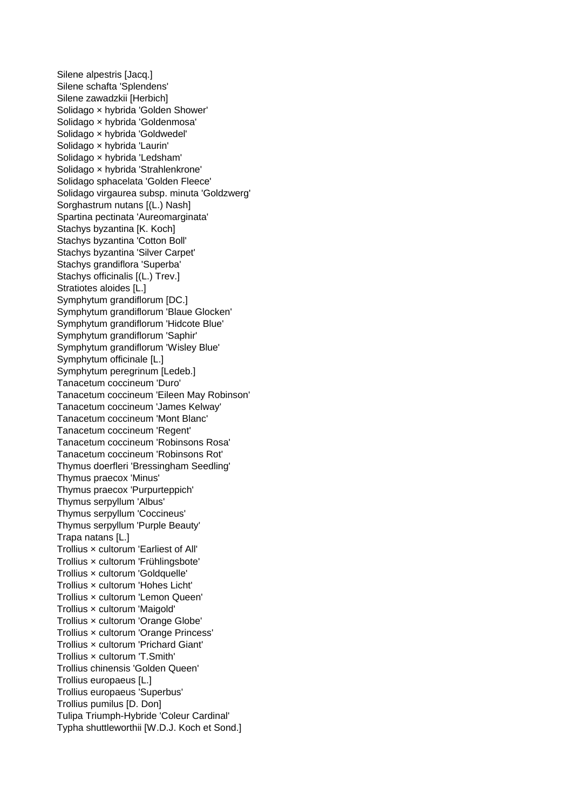Silene alpestris [Jacq.] Silene schafta 'Splendens' Silene zawadzkii [Herbich] Solidago × hybrida 'Golden Shower' Solidago × hybrida 'Goldenmosa' Solidago × hybrida 'Goldwedel' Solidago × hybrida 'Laurin' Solidago × hybrida 'Ledsham' Solidago × hybrida 'Strahlenkrone' Solidago sphacelata 'Golden Fleece' Solidago virgaurea subsp. minuta 'Goldzwerg' Sorghastrum nutans [(L.) Nash] Spartina pectinata 'Aureomarginata' Stachys byzantina [K. Koch] Stachys byzantina 'Cotton Boll' Stachys byzantina 'Silver Carpet' Stachys grandiflora 'Superba' Stachys officinalis [(L.) Trev.] Stratiotes aloides [L.] Symphytum grandiflorum [DC.] Symphytum grandiflorum 'Blaue Glocken' Symphytum grandiflorum 'Hidcote Blue' Symphytum grandiflorum 'Saphir' Symphytum grandiflorum 'Wisley Blue' Symphytum officinale [L.] Symphytum peregrinum [Ledeb.] Tanacetum coccineum 'Duro' Tanacetum coccineum 'Eileen May Robinson' Tanacetum coccineum 'James Kelway' Tanacetum coccineum 'Mont Blanc' Tanacetum coccineum 'Regent' Tanacetum coccineum 'Robinsons Rosa' Tanacetum coccineum 'Robinsons Rot' Thymus doerfleri 'Bressingham Seedling' Thymus praecox 'Minus' Thymus praecox 'Purpurteppich' Thymus serpyllum 'Albus' Thymus serpyllum 'Coccineus' Thymus serpyllum 'Purple Beauty' Trapa natans [L.] Trollius × cultorum 'Earliest of All' Trollius × cultorum 'Frühlingsbote' Trollius × cultorum 'Goldquelle' Trollius × cultorum 'Hohes Licht' Trollius × cultorum 'Lemon Queen' Trollius × cultorum 'Maigold' Trollius × cultorum 'Orange Globe' Trollius × cultorum 'Orange Princess' Trollius × cultorum 'Prichard Giant' Trollius × cultorum 'T.Smith' Trollius chinensis 'Golden Queen' Trollius europaeus [L.] Trollius europaeus 'Superbus' Trollius pumilus [D. Don] Tulipa Triumph-Hybride 'Coleur Cardinal' Typha shuttleworthii [W.D.J. Koch et Sond.]